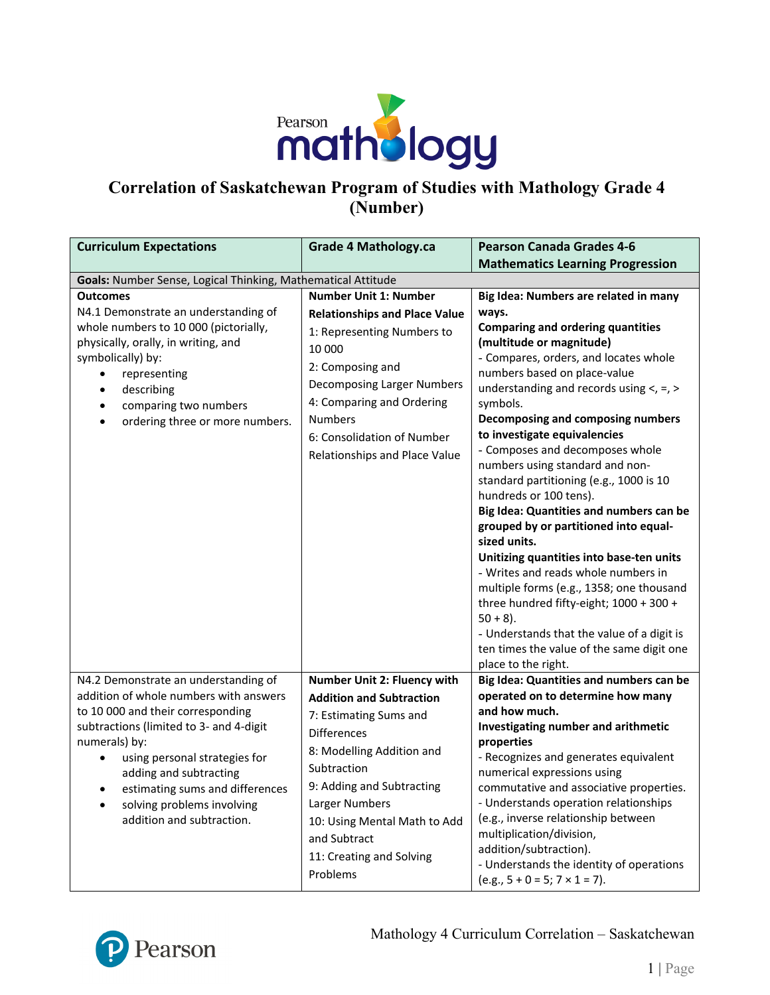

## **Correlation of Saskatchewan Program of Studies with Mathology Grade 4 (Number)**

| <b>Curriculum Expectations</b>                                                                                                                                                                                                                                                                                                                        | <b>Grade 4 Mathology.ca</b>                                                                                                                                                                                                                                                                | <b>Pearson Canada Grades 4-6</b>                                                                                                                                                                                                                                                                                                                                                                                                                                                                                                                                                                                                                                                                                                                                                                                                                                                           |  |  |
|-------------------------------------------------------------------------------------------------------------------------------------------------------------------------------------------------------------------------------------------------------------------------------------------------------------------------------------------------------|--------------------------------------------------------------------------------------------------------------------------------------------------------------------------------------------------------------------------------------------------------------------------------------------|--------------------------------------------------------------------------------------------------------------------------------------------------------------------------------------------------------------------------------------------------------------------------------------------------------------------------------------------------------------------------------------------------------------------------------------------------------------------------------------------------------------------------------------------------------------------------------------------------------------------------------------------------------------------------------------------------------------------------------------------------------------------------------------------------------------------------------------------------------------------------------------------|--|--|
|                                                                                                                                                                                                                                                                                                                                                       |                                                                                                                                                                                                                                                                                            | <b>Mathematics Learning Progression</b>                                                                                                                                                                                                                                                                                                                                                                                                                                                                                                                                                                                                                                                                                                                                                                                                                                                    |  |  |
|                                                                                                                                                                                                                                                                                                                                                       | Goals: Number Sense, Logical Thinking, Mathematical Attitude                                                                                                                                                                                                                               |                                                                                                                                                                                                                                                                                                                                                                                                                                                                                                                                                                                                                                                                                                                                                                                                                                                                                            |  |  |
| <b>Outcomes</b><br>N4.1 Demonstrate an understanding of<br>whole numbers to 10 000 (pictorially,<br>physically, orally, in writing, and<br>symbolically) by:<br>representing<br>$\bullet$<br>describing<br>$\bullet$<br>comparing two numbers<br>ordering three or more numbers.                                                                      | <b>Number Unit 1: Number</b><br><b>Relationships and Place Value</b><br>1: Representing Numbers to<br>10 000<br>2: Composing and<br>Decomposing Larger Numbers<br>4: Comparing and Ordering<br><b>Numbers</b><br>6: Consolidation of Number<br>Relationships and Place Value               | Big Idea: Numbers are related in many<br>ways.<br><b>Comparing and ordering quantities</b><br>(multitude or magnitude)<br>- Compares, orders, and locates whole<br>numbers based on place-value<br>understanding and records using $\lt$ , =, ><br>symbols.<br>Decomposing and composing numbers<br>to investigate equivalencies<br>- Composes and decomposes whole<br>numbers using standard and non-<br>standard partitioning (e.g., 1000 is 10<br>hundreds or 100 tens).<br>Big Idea: Quantities and numbers can be<br>grouped by or partitioned into equal-<br>sized units.<br>Unitizing quantities into base-ten units<br>- Writes and reads whole numbers in<br>multiple forms (e.g., 1358; one thousand<br>three hundred fifty-eight; 1000 + 300 +<br>$50 + 8$ ).<br>- Understands that the value of a digit is<br>ten times the value of the same digit one<br>place to the right. |  |  |
| N4.2 Demonstrate an understanding of<br>addition of whole numbers with answers<br>to 10 000 and their corresponding<br>subtractions (limited to 3- and 4-digit<br>numerals) by:<br>using personal strategies for<br>$\bullet$<br>adding and subtracting<br>estimating sums and differences<br>solving problems involving<br>addition and subtraction. | Number Unit 2: Fluency with<br><b>Addition and Subtraction</b><br>7: Estimating Sums and<br>Differences<br>8: Modelling Addition and<br>Subtraction<br>9: Adding and Subtracting<br>Larger Numbers<br>10: Using Mental Math to Add<br>and Subtract<br>11: Creating and Solving<br>Problems | Big Idea: Quantities and numbers can be<br>operated on to determine how many<br>and how much.<br>Investigating number and arithmetic<br>properties<br>- Recognizes and generates equivalent<br>numerical expressions using<br>commutative and associative properties.<br>- Understands operation relationships<br>(e.g., inverse relationship between<br>multiplication/division,<br>addition/subtraction).<br>- Understands the identity of operations<br>$(e.g., 5 + 0 = 5; 7 \times 1 = 7).$                                                                                                                                                                                                                                                                                                                                                                                            |  |  |

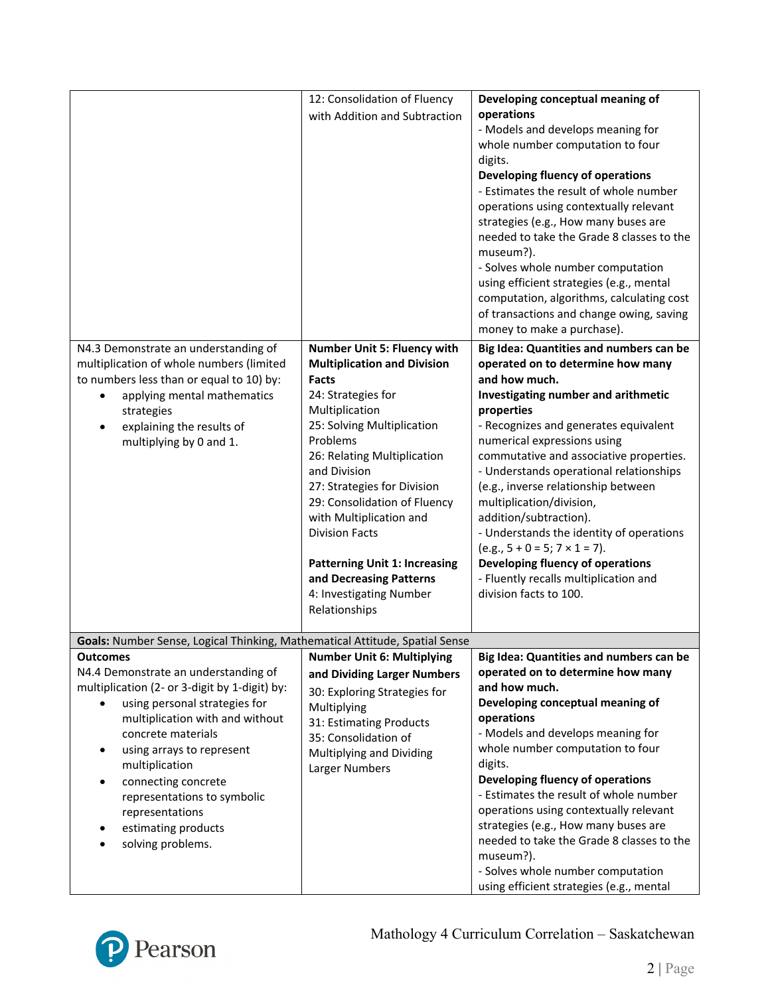|                                                                             | 12: Consolidation of Fluency                | Developing conceptual meaning of                                               |
|-----------------------------------------------------------------------------|---------------------------------------------|--------------------------------------------------------------------------------|
|                                                                             | with Addition and Subtraction               | operations                                                                     |
|                                                                             |                                             | - Models and develops meaning for                                              |
|                                                                             |                                             | whole number computation to four                                               |
|                                                                             |                                             | digits.                                                                        |
|                                                                             |                                             | Developing fluency of operations                                               |
|                                                                             |                                             | - Estimates the result of whole number                                         |
|                                                                             |                                             | operations using contextually relevant                                         |
|                                                                             |                                             | strategies (e.g., How many buses are                                           |
|                                                                             |                                             | needed to take the Grade 8 classes to the                                      |
|                                                                             |                                             | museum?).                                                                      |
|                                                                             |                                             | - Solves whole number computation                                              |
|                                                                             |                                             | using efficient strategies (e.g., mental                                       |
|                                                                             |                                             | computation, algorithms, calculating cost                                      |
|                                                                             |                                             | of transactions and change owing, saving                                       |
|                                                                             |                                             | money to make a purchase).                                                     |
| N4.3 Demonstrate an understanding of                                        | <b>Number Unit 5: Fluency with</b>          | Big Idea: Quantities and numbers can be                                        |
| multiplication of whole numbers (limited                                    | <b>Multiplication and Division</b>          | operated on to determine how many                                              |
| to numbers less than or equal to 10) by:                                    | <b>Facts</b>                                | and how much.                                                                  |
| applying mental mathematics                                                 | 24: Strategies for                          | Investigating number and arithmetic                                            |
| strategies                                                                  | Multiplication                              | properties                                                                     |
| explaining the results of<br>٠                                              | 25: Solving Multiplication                  | - Recognizes and generates equivalent                                          |
| multiplying by 0 and 1.                                                     | Problems                                    | numerical expressions using                                                    |
|                                                                             | 26: Relating Multiplication<br>and Division | commutative and associative properties.                                        |
|                                                                             | 27: Strategies for Division                 | - Understands operational relationships<br>(e.g., inverse relationship between |
|                                                                             | 29: Consolidation of Fluency                | multiplication/division,                                                       |
|                                                                             | with Multiplication and                     | addition/subtraction).                                                         |
|                                                                             | <b>Division Facts</b>                       | - Understands the identity of operations                                       |
|                                                                             |                                             | $(e.g., 5 + 0 = 5; 7 \times 1 = 7).$                                           |
|                                                                             | <b>Patterning Unit 1: Increasing</b>        | Developing fluency of operations                                               |
|                                                                             | and Decreasing Patterns                     | - Fluently recalls multiplication and                                          |
|                                                                             | 4: Investigating Number                     | division facts to 100.                                                         |
|                                                                             | Relationships                               |                                                                                |
|                                                                             |                                             |                                                                                |
| Goals: Number Sense, Logical Thinking, Mathematical Attitude, Spatial Sense |                                             |                                                                                |
| <b>Outcomes</b>                                                             | <b>Number Unit 6: Multiplying</b>           | Big Idea: Quantities and numbers can be                                        |
| N4.4 Demonstrate an understanding of                                        | and Dividing Larger Numbers                 | operated on to determine how many                                              |
| multiplication (2- or 3-digit by 1-digit) by:                               | 30: Exploring Strategies for                | and how much.                                                                  |
| using personal strategies for                                               | Multiplying                                 | Developing conceptual meaning of                                               |
| multiplication with and without                                             | 31: Estimating Products                     | operations                                                                     |
| concrete materials                                                          | 35: Consolidation of                        | - Models and develops meaning for<br>whole number computation to four          |
| using arrays to represent                                                   | Multiplying and Dividing                    | digits.                                                                        |
| multiplication<br>connecting concrete<br>$\bullet$                          | Larger Numbers                              | Developing fluency of operations                                               |
| representations to symbolic                                                 |                                             | - Estimates the result of whole number                                         |
| representations                                                             |                                             | operations using contextually relevant                                         |
| estimating products                                                         |                                             | strategies (e.g., How many buses are                                           |
| solving problems.                                                           |                                             | needed to take the Grade 8 classes to the                                      |
|                                                                             |                                             | museum?).                                                                      |
|                                                                             |                                             | - Solves whole number computation                                              |
|                                                                             |                                             | using efficient strategies (e.g., mental                                       |

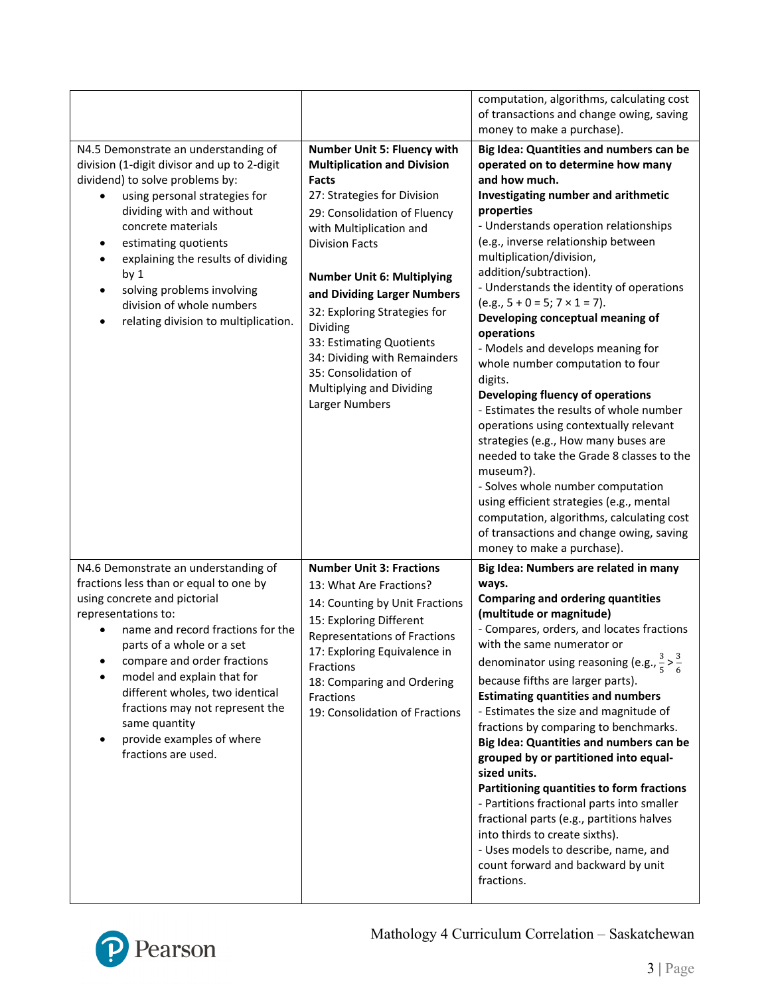|                                                                                                                                                                                                                                                                                                                                                                                                                 |                                                                                                                                                                                                                                                                                                                                                                                                                                                 | computation, algorithms, calculating cost<br>of transactions and change owing, saving<br>money to make a purchase).                                                                                                                                                                                                                                                                                                                                                                                                                                                                                                                                                                                                                                                                                                                                                                                                                                   |
|-----------------------------------------------------------------------------------------------------------------------------------------------------------------------------------------------------------------------------------------------------------------------------------------------------------------------------------------------------------------------------------------------------------------|-------------------------------------------------------------------------------------------------------------------------------------------------------------------------------------------------------------------------------------------------------------------------------------------------------------------------------------------------------------------------------------------------------------------------------------------------|-------------------------------------------------------------------------------------------------------------------------------------------------------------------------------------------------------------------------------------------------------------------------------------------------------------------------------------------------------------------------------------------------------------------------------------------------------------------------------------------------------------------------------------------------------------------------------------------------------------------------------------------------------------------------------------------------------------------------------------------------------------------------------------------------------------------------------------------------------------------------------------------------------------------------------------------------------|
| N4.5 Demonstrate an understanding of<br>division (1-digit divisor and up to 2-digit<br>dividend) to solve problems by:<br>using personal strategies for<br>dividing with and without<br>concrete materials<br>estimating quotients<br>explaining the results of dividing<br>by <sub>1</sub><br>solving problems involving<br>division of whole numbers<br>relating division to multiplication.                  | Number Unit 5: Fluency with<br><b>Multiplication and Division</b><br>Facts<br>27: Strategies for Division<br>29: Consolidation of Fluency<br>with Multiplication and<br><b>Division Facts</b><br><b>Number Unit 6: Multiplying</b><br>and Dividing Larger Numbers<br>32: Exploring Strategies for<br>Dividing<br>33: Estimating Quotients<br>34: Dividing with Remainders<br>35: Consolidation of<br>Multiplying and Dividing<br>Larger Numbers | Big Idea: Quantities and numbers can be<br>operated on to determine how many<br>and how much.<br>Investigating number and arithmetic<br>properties<br>- Understands operation relationships<br>(e.g., inverse relationship between<br>multiplication/division,<br>addition/subtraction).<br>- Understands the identity of operations<br>$(e.g., 5 + 0 = 5; 7 \times 1 = 7).$<br>Developing conceptual meaning of<br>operations<br>- Models and develops meaning for<br>whole number computation to four<br>digits.<br>Developing fluency of operations<br>- Estimates the results of whole number<br>operations using contextually relevant<br>strategies (e.g., How many buses are<br>needed to take the Grade 8 classes to the<br>museum?).<br>- Solves whole number computation<br>using efficient strategies (e.g., mental<br>computation, algorithms, calculating cost<br>of transactions and change owing, saving<br>money to make a purchase). |
| N4.6 Demonstrate an understanding of<br>fractions less than or equal to one by<br>using concrete and pictorial<br>representations to:<br>name and record fractions for the<br>parts of a whole or a set<br>compare and order fractions<br>model and explain that for<br>different wholes, two identical<br>fractions may not represent the<br>same quantity<br>provide examples of where<br>fractions are used. | <b>Number Unit 3: Fractions</b><br>13: What Are Fractions?<br>14: Counting by Unit Fractions<br>15: Exploring Different<br><b>Representations of Fractions</b><br>17: Exploring Equivalence in<br>Fractions<br>18: Comparing and Ordering<br>Fractions<br>19: Consolidation of Fractions                                                                                                                                                        | Big Idea: Numbers are related in many<br>ways.<br><b>Comparing and ordering quantities</b><br>(multitude or magnitude)<br>- Compares, orders, and locates fractions<br>with the same numerator or<br>denominator using reasoning (e.g., $\frac{3}{5}$ > $\frac{3}{6}$<br>because fifths are larger parts).<br><b>Estimating quantities and numbers</b><br>- Estimates the size and magnitude of<br>fractions by comparing to benchmarks.<br>Big Idea: Quantities and numbers can be<br>grouped by or partitioned into equal-<br>sized units.<br>Partitioning quantities to form fractions<br>- Partitions fractional parts into smaller<br>fractional parts (e.g., partitions halves<br>into thirds to create sixths).<br>- Uses models to describe, name, and<br>count forward and backward by unit<br>fractions.                                                                                                                                    |

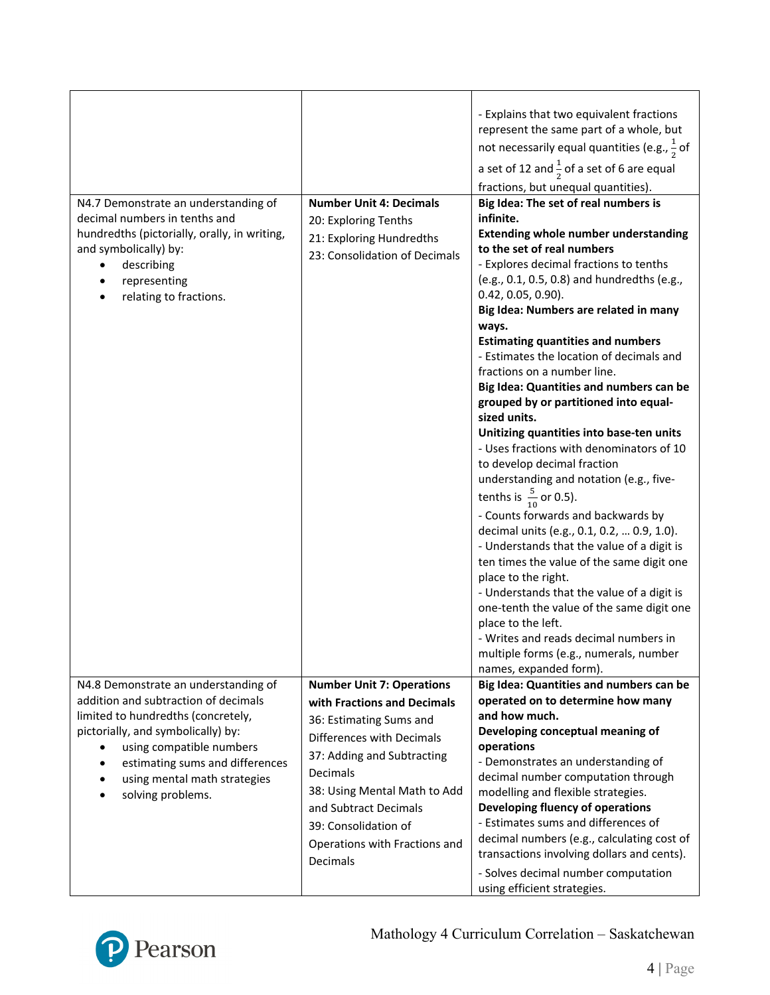|                                                                                                                                                                                                                                                                              |                                                                                                                                                                                                                                                                                                        | - Explains that two equivalent fractions<br>represent the same part of a whole, but<br>not necessarily equal quantities (e.g., $\frac{1}{2}$ of<br>a set of 12 and $\frac{1}{2}$ of a set of 6 are equal<br>fractions, but unequal quantities).                                                                                                                                                                                                                                                                                                                                                                                                                                                                                                                                                                                                                                                                                                                                                                                                                                                                                                |
|------------------------------------------------------------------------------------------------------------------------------------------------------------------------------------------------------------------------------------------------------------------------------|--------------------------------------------------------------------------------------------------------------------------------------------------------------------------------------------------------------------------------------------------------------------------------------------------------|------------------------------------------------------------------------------------------------------------------------------------------------------------------------------------------------------------------------------------------------------------------------------------------------------------------------------------------------------------------------------------------------------------------------------------------------------------------------------------------------------------------------------------------------------------------------------------------------------------------------------------------------------------------------------------------------------------------------------------------------------------------------------------------------------------------------------------------------------------------------------------------------------------------------------------------------------------------------------------------------------------------------------------------------------------------------------------------------------------------------------------------------|
| N4.7 Demonstrate an understanding of<br>decimal numbers in tenths and<br>hundredths (pictorially, orally, in writing,<br>and symbolically) by:<br>describing<br>representing<br>relating to fractions.                                                                       | <b>Number Unit 4: Decimals</b><br>20: Exploring Tenths<br>21: Exploring Hundredths<br>23: Consolidation of Decimals                                                                                                                                                                                    | Big Idea: The set of real numbers is<br>infinite.<br><b>Extending whole number understanding</b><br>to the set of real numbers<br>- Explores decimal fractions to tenths<br>(e.g., 0.1, 0.5, 0.8) and hundredths (e.g.,<br>$0.42, 0.05, 0.90$ ).<br>Big Idea: Numbers are related in many<br>ways.<br><b>Estimating quantities and numbers</b><br>- Estimates the location of decimals and<br>fractions on a number line.<br>Big Idea: Quantities and numbers can be<br>grouped by or partitioned into equal-<br>sized units.<br>Unitizing quantities into base-ten units<br>- Uses fractions with denominators of 10<br>to develop decimal fraction<br>understanding and notation (e.g., five-<br>tenths is $\frac{5}{10}$ or 0.5).<br>- Counts forwards and backwards by<br>decimal units (e.g., 0.1, 0.2,  0.9, 1.0).<br>- Understands that the value of a digit is<br>ten times the value of the same digit one<br>place to the right.<br>- Understands that the value of a digit is<br>one-tenth the value of the same digit one<br>place to the left.<br>- Writes and reads decimal numbers in<br>multiple forms (e.g., numerals, number |
| N4.8 Demonstrate an understanding of<br>addition and subtraction of decimals<br>limited to hundredths (concretely,<br>pictorially, and symbolically) by:<br>using compatible numbers<br>estimating sums and differences<br>using mental math strategies<br>solving problems. | <b>Number Unit 7: Operations</b><br>with Fractions and Decimals<br>36: Estimating Sums and<br>Differences with Decimals<br>37: Adding and Subtracting<br><b>Decimals</b><br>38: Using Mental Math to Add<br>and Subtract Decimals<br>39: Consolidation of<br>Operations with Fractions and<br>Decimals | names, expanded form).<br>Big Idea: Quantities and numbers can be<br>operated on to determine how many<br>and how much.<br>Developing conceptual meaning of<br>operations<br>- Demonstrates an understanding of<br>decimal number computation through<br>modelling and flexible strategies.<br>Developing fluency of operations<br>- Estimates sums and differences of<br>decimal numbers (e.g., calculating cost of<br>transactions involving dollars and cents).<br>- Solves decimal number computation<br>using efficient strategies.                                                                                                                                                                                                                                                                                                                                                                                                                                                                                                                                                                                                       |

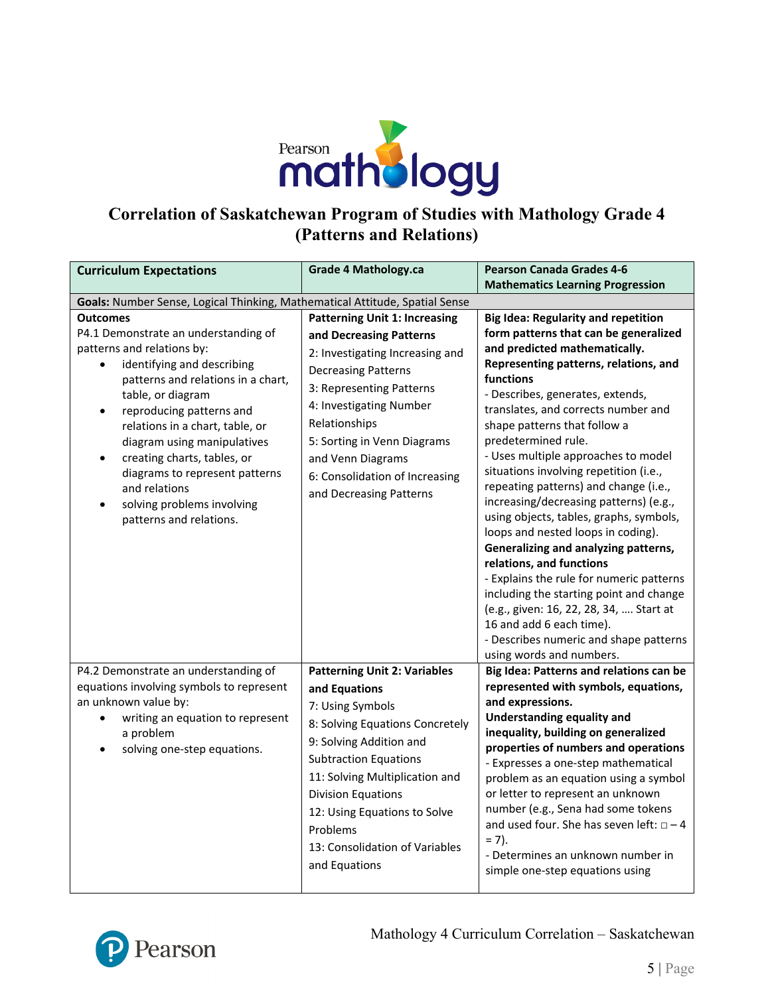

## **Correlation of Saskatchewan Program of Studies with Mathology Grade 4 (Patterns and Relations)**

| <b>Curriculum Expectations</b>                                                                                                                                                                                                                                                                                                                                                                                                       | <b>Grade 4 Mathology.ca</b>                                                                                                                                                                                                                                                                                                          | <b>Pearson Canada Grades 4-6</b>                                                                                                                                                                                                                                                                                                                                                                                                                                                                                                                                                                                                                                                                                                                                                                                                                                          |
|--------------------------------------------------------------------------------------------------------------------------------------------------------------------------------------------------------------------------------------------------------------------------------------------------------------------------------------------------------------------------------------------------------------------------------------|--------------------------------------------------------------------------------------------------------------------------------------------------------------------------------------------------------------------------------------------------------------------------------------------------------------------------------------|---------------------------------------------------------------------------------------------------------------------------------------------------------------------------------------------------------------------------------------------------------------------------------------------------------------------------------------------------------------------------------------------------------------------------------------------------------------------------------------------------------------------------------------------------------------------------------------------------------------------------------------------------------------------------------------------------------------------------------------------------------------------------------------------------------------------------------------------------------------------------|
|                                                                                                                                                                                                                                                                                                                                                                                                                                      |                                                                                                                                                                                                                                                                                                                                      | <b>Mathematics Learning Progression</b>                                                                                                                                                                                                                                                                                                                                                                                                                                                                                                                                                                                                                                                                                                                                                                                                                                   |
| Goals: Number Sense, Logical Thinking, Mathematical Attitude, Spatial Sense                                                                                                                                                                                                                                                                                                                                                          |                                                                                                                                                                                                                                                                                                                                      |                                                                                                                                                                                                                                                                                                                                                                                                                                                                                                                                                                                                                                                                                                                                                                                                                                                                           |
| <b>Outcomes</b><br>P4.1 Demonstrate an understanding of<br>patterns and relations by:<br>identifying and describing<br>patterns and relations in a chart,<br>table, or diagram<br>reproducing patterns and<br>$\bullet$<br>relations in a chart, table, or<br>diagram using manipulatives<br>creating charts, tables, or<br>diagrams to represent patterns<br>and relations<br>solving problems involving<br>patterns and relations. | <b>Patterning Unit 1: Increasing</b><br>and Decreasing Patterns<br>2: Investigating Increasing and<br><b>Decreasing Patterns</b><br>3: Representing Patterns<br>4: Investigating Number<br>Relationships<br>5: Sorting in Venn Diagrams<br>and Venn Diagrams<br>6: Consolidation of Increasing<br>and Decreasing Patterns            | <b>Big Idea: Regularity and repetition</b><br>form patterns that can be generalized<br>and predicted mathematically.<br>Representing patterns, relations, and<br>functions<br>- Describes, generates, extends,<br>translates, and corrects number and<br>shape patterns that follow a<br>predetermined rule.<br>- Uses multiple approaches to model<br>situations involving repetition (i.e.,<br>repeating patterns) and change (i.e.,<br>increasing/decreasing patterns) (e.g.,<br>using objects, tables, graphs, symbols,<br>loops and nested loops in coding).<br>Generalizing and analyzing patterns,<br>relations, and functions<br>- Explains the rule for numeric patterns<br>including the starting point and change<br>(e.g., given: 16, 22, 28, 34,  Start at<br>16 and add 6 each time).<br>- Describes numeric and shape patterns<br>using words and numbers. |
| P4.2 Demonstrate an understanding of<br>equations involving symbols to represent<br>an unknown value by:<br>writing an equation to represent<br>a problem<br>solving one-step equations.                                                                                                                                                                                                                                             | <b>Patterning Unit 2: Variables</b><br>and Equations<br>7: Using Symbols<br>8: Solving Equations Concretely<br>9: Solving Addition and<br><b>Subtraction Equations</b><br>11: Solving Multiplication and<br><b>Division Equations</b><br>12: Using Equations to Solve<br>Problems<br>13: Consolidation of Variables<br>and Equations | Big Idea: Patterns and relations can be<br>represented with symbols, equations,<br>and expressions.<br><b>Understanding equality and</b><br>inequality, building on generalized<br>properties of numbers and operations<br>- Expresses a one-step mathematical<br>problem as an equation using a symbol<br>or letter to represent an unknown<br>number (e.g., Sena had some tokens<br>and used four. She has seven left: $\Box - 4$<br>$= 7$ ).<br>- Determines an unknown number in<br>simple one-step equations using                                                                                                                                                                                                                                                                                                                                                   |



Mathology 4 Curriculum Correlation – Saskatchewan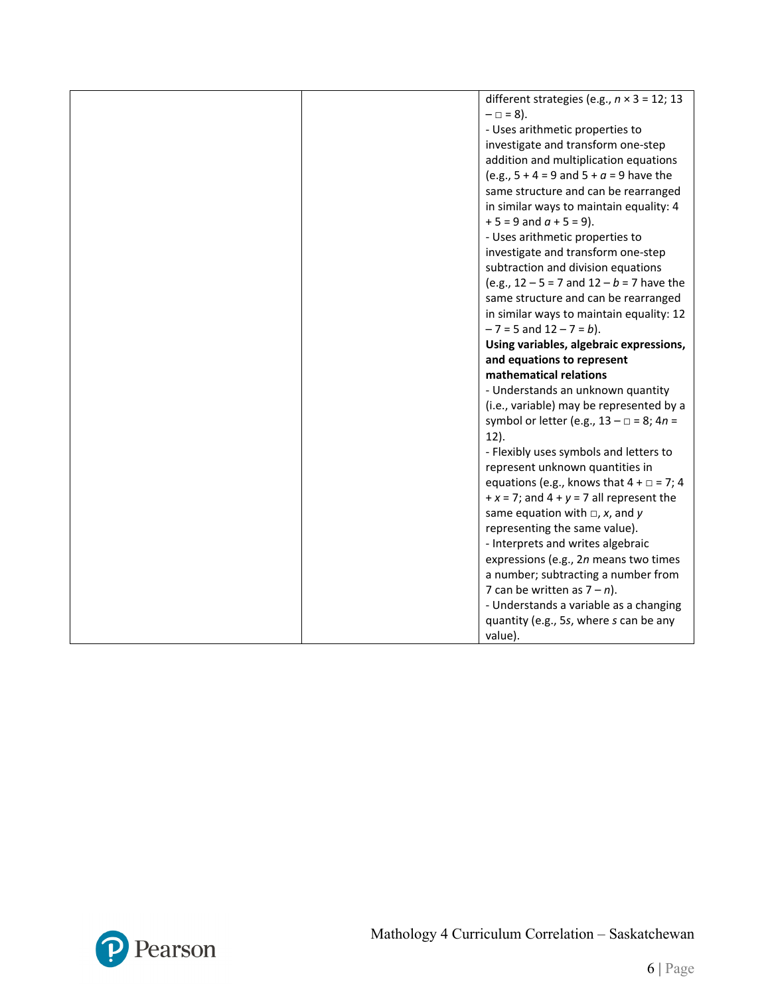|  | different strategies (e.g., $n \times 3 = 12$ ; 13  |
|--|-----------------------------------------------------|
|  | $- \Box = 8$ ).                                     |
|  | - Uses arithmetic properties to                     |
|  | investigate and transform one-step                  |
|  | addition and multiplication equations               |
|  | (e.g., $5 + 4 = 9$ and $5 + a = 9$ have the         |
|  | same structure and can be rearranged                |
|  | in similar ways to maintain equality: 4             |
|  | $+5 = 9$ and $a + 5 = 9$ ).                         |
|  | - Uses arithmetic properties to                     |
|  | investigate and transform one-step                  |
|  | subtraction and division equations                  |
|  | (e.g., $12 - 5 = 7$ and $12 - b = 7$ have the       |
|  | same structure and can be rearranged                |
|  | in similar ways to maintain equality: 12            |
|  | $-7 = 5$ and $12 - 7 = b$ ).                        |
|  | Using variables, algebraic expressions,             |
|  | and equations to represent                          |
|  | mathematical relations                              |
|  | - Understands an unknown quantity                   |
|  | (i.e., variable) may be represented by a            |
|  | symbol or letter (e.g., $13 - \square = 8$ ; $4n =$ |
|  | $12$ ).                                             |
|  | - Flexibly uses symbols and letters to              |
|  | represent unknown quantities in                     |
|  | equations (e.g., knows that $4 + \square = 7$ ; 4   |
|  | $+x = 7$ ; and $4 + y = 7$ all represent the        |
|  | same equation with $\Box$ , x, and y                |
|  | representing the same value).                       |
|  | - Interprets and writes algebraic                   |
|  | expressions (e.g., 2n means two times               |
|  | a number; subtracting a number from                 |
|  | 7 can be written as $7 - n$ ).                      |
|  | - Understands a variable as a changing              |
|  | quantity (e.g., 5s, where s can be any              |
|  | value).                                             |

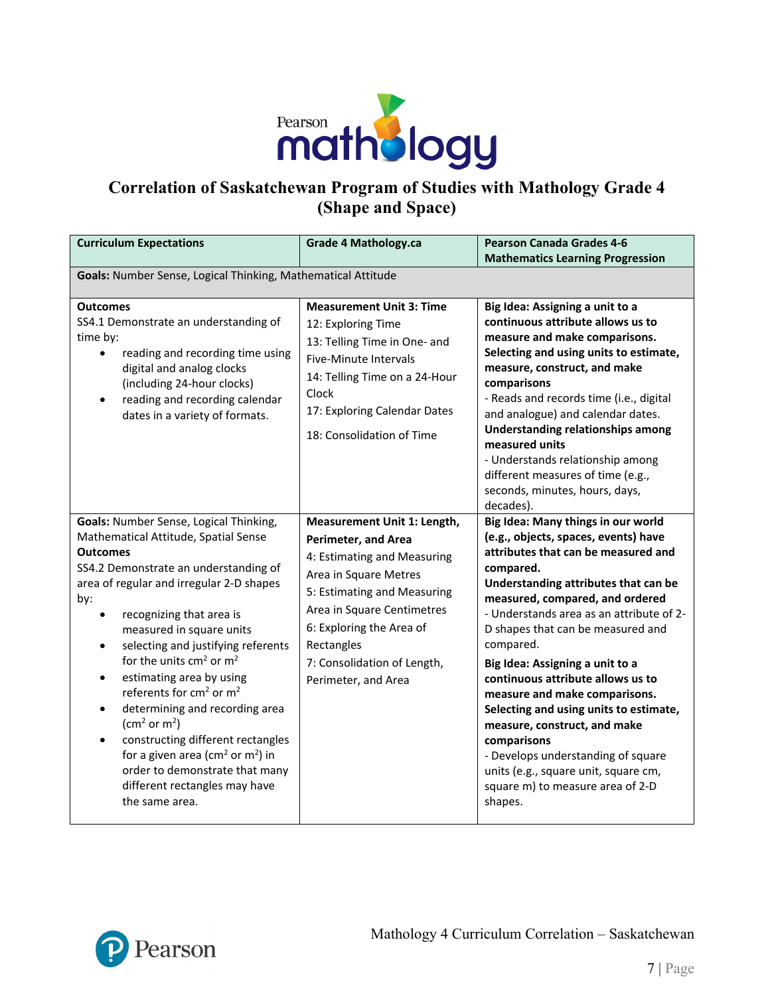

## **Correlation of Saskatchewan Program of Studies with Mathology Grade 4 (Shape and Space)**

| <b>Curriculum Expectations</b>                                                                                                                                                                                                                                                                                                                                                                                                                                                                                                                                                                                                                                                                         | <b>Grade 4 Mathology.ca</b>                                                                                                                                                                                                                                                    | <b>Pearson Canada Grades 4-6</b>                                                                                                                                                                                                                                                                                                                                                                                                                                                                                                                                                                                                       |  |
|--------------------------------------------------------------------------------------------------------------------------------------------------------------------------------------------------------------------------------------------------------------------------------------------------------------------------------------------------------------------------------------------------------------------------------------------------------------------------------------------------------------------------------------------------------------------------------------------------------------------------------------------------------------------------------------------------------|--------------------------------------------------------------------------------------------------------------------------------------------------------------------------------------------------------------------------------------------------------------------------------|----------------------------------------------------------------------------------------------------------------------------------------------------------------------------------------------------------------------------------------------------------------------------------------------------------------------------------------------------------------------------------------------------------------------------------------------------------------------------------------------------------------------------------------------------------------------------------------------------------------------------------------|--|
|                                                                                                                                                                                                                                                                                                                                                                                                                                                                                                                                                                                                                                                                                                        |                                                                                                                                                                                                                                                                                | <b>Mathematics Learning Progression</b>                                                                                                                                                                                                                                                                                                                                                                                                                                                                                                                                                                                                |  |
| Goals: Number Sense, Logical Thinking, Mathematical Attitude                                                                                                                                                                                                                                                                                                                                                                                                                                                                                                                                                                                                                                           |                                                                                                                                                                                                                                                                                |                                                                                                                                                                                                                                                                                                                                                                                                                                                                                                                                                                                                                                        |  |
| <b>Outcomes</b><br>SS4.1 Demonstrate an understanding of<br>time by:<br>reading and recording time using<br>digital and analog clocks<br>(including 24-hour clocks)<br>reading and recording calendar<br>$\bullet$<br>dates in a variety of formats.                                                                                                                                                                                                                                                                                                                                                                                                                                                   | <b>Measurement Unit 3: Time</b><br>12: Exploring Time<br>13: Telling Time in One- and<br>Five-Minute Intervals<br>14: Telling Time on a 24-Hour<br>Clock<br>17: Exploring Calendar Dates<br>18: Consolidation of Time                                                          | Big Idea: Assigning a unit to a<br>continuous attribute allows us to<br>measure and make comparisons.<br>Selecting and using units to estimate,<br>measure, construct, and make<br>comparisons<br>- Reads and records time (i.e., digital<br>and analogue) and calendar dates.<br><b>Understanding relationships among</b><br>measured units<br>- Understands relationship among<br>different measures of time (e.g.,<br>seconds, minutes, hours, days,<br>decades).                                                                                                                                                                   |  |
| Goals: Number Sense, Logical Thinking,<br>Mathematical Attitude, Spatial Sense<br><b>Outcomes</b><br>SS4.2 Demonstrate an understanding of<br>area of regular and irregular 2-D shapes<br>by:<br>recognizing that area is<br>measured in square units<br>selecting and justifying referents<br>$\bullet$<br>for the units $cm2$ or $m2$<br>estimating area by using<br>$\bullet$<br>referents for $cm2$ or $m2$<br>determining and recording area<br>$\bullet$<br>(cm <sup>2</sup> or m <sup>2</sup> )<br>constructing different rectangles<br>$\bullet$<br>for a given area ( $\text{cm}^2$ or $\text{m}^2$ ) in<br>order to demonstrate that many<br>different rectangles may have<br>the same area. | Measurement Unit 1: Length,<br><b>Perimeter, and Area</b><br>4: Estimating and Measuring<br>Area in Square Metres<br>5: Estimating and Measuring<br>Area in Square Centimetres<br>6: Exploring the Area of<br>Rectangles<br>7: Consolidation of Length,<br>Perimeter, and Area | Big Idea: Many things in our world<br>(e.g., objects, spaces, events) have<br>attributes that can be measured and<br>compared.<br>Understanding attributes that can be<br>measured, compared, and ordered<br>- Understands area as an attribute of 2-<br>D shapes that can be measured and<br>compared.<br>Big Idea: Assigning a unit to a<br>continuous attribute allows us to<br>measure and make comparisons.<br>Selecting and using units to estimate,<br>measure, construct, and make<br>comparisons<br>- Develops understanding of square<br>units (e.g., square unit, square cm,<br>square m) to measure area of 2-D<br>shapes. |  |

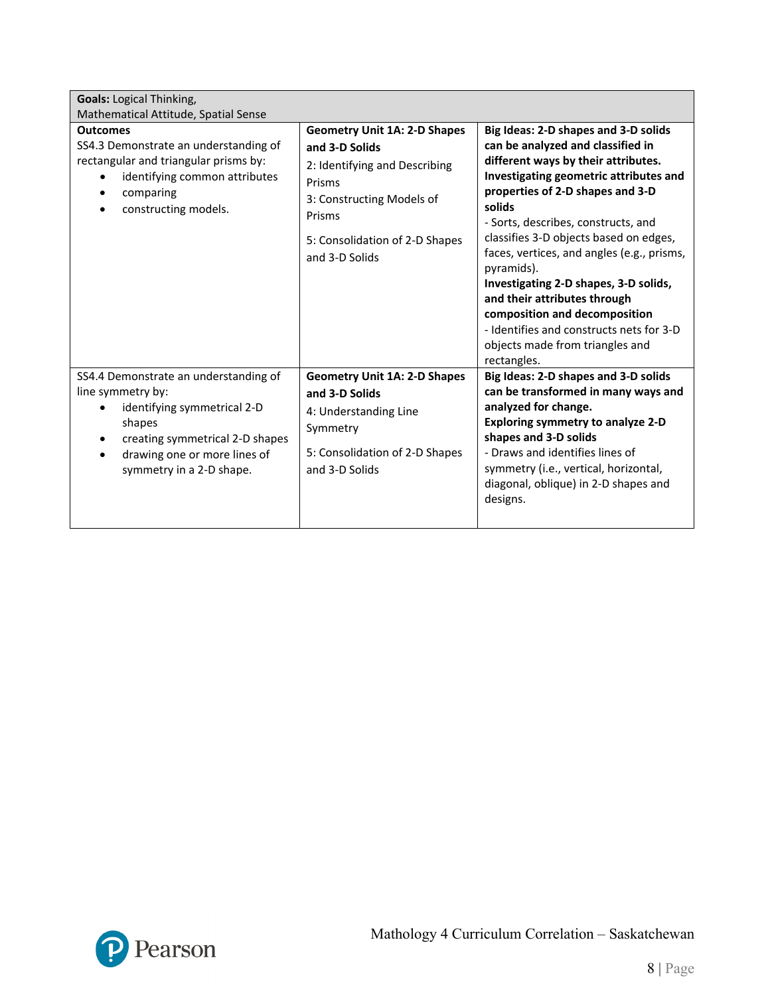| <b>Goals: Logical Thinking,</b>                                                                                                                                                                    |                                                                                                                                                                                             |                                                                                                                                                                                                                                                                                                                                                                                                                                                                                                                                                               |
|----------------------------------------------------------------------------------------------------------------------------------------------------------------------------------------------------|---------------------------------------------------------------------------------------------------------------------------------------------------------------------------------------------|---------------------------------------------------------------------------------------------------------------------------------------------------------------------------------------------------------------------------------------------------------------------------------------------------------------------------------------------------------------------------------------------------------------------------------------------------------------------------------------------------------------------------------------------------------------|
| Mathematical Attitude, Spatial Sense                                                                                                                                                               |                                                                                                                                                                                             |                                                                                                                                                                                                                                                                                                                                                                                                                                                                                                                                                               |
| <b>Outcomes</b><br>SS4.3 Demonstrate an understanding of<br>rectangular and triangular prisms by:<br>identifying common attributes<br>$\bullet$<br>comparing<br>constructing models.               | <b>Geometry Unit 1A: 2-D Shapes</b><br>and 3-D Solids<br>2: Identifying and Describing<br>Prisms<br>3: Constructing Models of<br>Prisms<br>5: Consolidation of 2-D Shapes<br>and 3-D Solids | Big Ideas: 2-D shapes and 3-D solids<br>can be analyzed and classified in<br>different ways by their attributes.<br>Investigating geometric attributes and<br>properties of 2-D shapes and 3-D<br>solids<br>- Sorts, describes, constructs, and<br>classifies 3-D objects based on edges,<br>faces, vertices, and angles (e.g., prisms,<br>pyramids).<br>Investigating 2-D shapes, 3-D solids,<br>and their attributes through<br>composition and decomposition<br>- Identifies and constructs nets for 3-D<br>objects made from triangles and<br>rectangles. |
| SS4.4 Demonstrate an understanding of<br>line symmetry by:<br>identifying symmetrical 2-D<br>shapes<br>creating symmetrical 2-D shapes<br>drawing one or more lines of<br>symmetry in a 2-D shape. | <b>Geometry Unit 1A: 2-D Shapes</b><br>and 3-D Solids<br>4: Understanding Line<br>Symmetry<br>5: Consolidation of 2-D Shapes<br>and 3-D Solids                                              | Big Ideas: 2-D shapes and 3-D solids<br>can be transformed in many ways and<br>analyzed for change.<br><b>Exploring symmetry to analyze 2-D</b><br>shapes and 3-D solids<br>- Draws and identifies lines of<br>symmetry (i.e., vertical, horizontal,<br>diagonal, oblique) in 2-D shapes and<br>designs.                                                                                                                                                                                                                                                      |